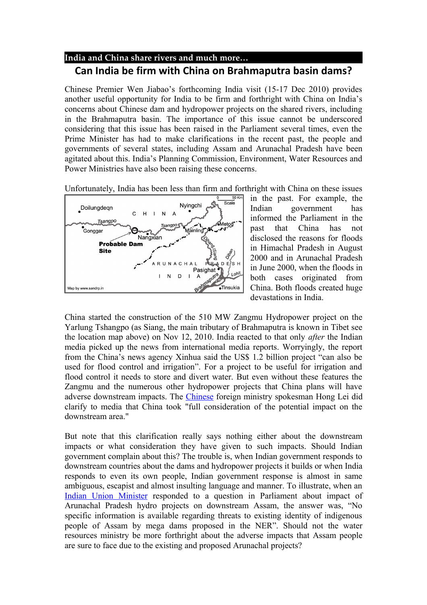## **India and China share rivers and much more… Can India be firm with China on Brahmaputra basin dams?**

Chinese Premier Wen Jiabao's forthcoming India visit (15-17 Dec 2010) provides another useful opportunity for India to be firm and forthright with China on India's concerns about Chinese dam and hydropower projects on the shared rivers, including in the Brahmaputra basin. The importance of this issue cannot be underscored considering that this issue has been raised in the Parliament several times, even the Prime Minister has had to make clarifications in the recent past, the people and governments of several states, including Assam and Arunachal Pradesh have been agitated about this. India's Planning Commission, Environment, Water Resources and Power Ministries have also been raising these concerns.

Unfortunately, India has been less than firm and forthright with China on these issues



in the past. For example, the Indian government has informed the Parliament in the past that China has not disclosed the reasons for floods in Himachal Pradesh in August 2000 and in Arunachal Pradesh in June 2000, when the floods in both cases originated from China. Both floods created huge devastations in India.

China started the construction of the 510 MW Zangmu Hydropower project on the Yarlung Tshangpo (as Siang, the main tributary of Brahmaputra is known in Tibet see the location map above) on Nov 12, 2010. India reacted to that only *after* the Indian media picked up the news from international media reports. Worryingly, the report from the China's news agency Xinhua said the US\$ 1.2 billion project "can also be used for flood control and irrigation". For a project to be useful for irrigation and flood control it needs to store and divert water. But even without these features the Zangmu and the numerous other hydropower projects that China plans will have adverse downstream impacts. The [Chinese](http://www.google.com/hostednews/afp/article/ALeqM5jfn7VW2ARh88J0i5UZFjXcr2ZHKw?docId=CNG.43a57f15426eed4e3d958f8281348a4b.91) foreign ministry spokesman Hong Lei did clarify to media that China took "full consideration of the potential impact on the downstream area."

But note that this clarification really says nothing either about the downstream impacts or what consideration they have given to such impacts. Should Indian government complain about this? The trouble is, when Indian government responds to downstream countries about the dams and hydropower projects it builds or when India responds to even its own people, Indian government response is almost in same ambiguous, escapist and almost insulting language and manner. To illustrate, when an [Indian Union Minister](http://www.assamtribune.com/scripts/detailsnew.asp?id=nov2610/at08) responded to a question in Parliament about impact of Arunachal Pradesh hydro projects on downstream Assam, the answer was, "No specific information is available regarding threats to existing identity of indigenous people of Assam by mega dams proposed in the NER". Should not the water resources ministry be more forthright about the adverse impacts that Assam people are sure to face due to the existing and proposed Arunachal projects?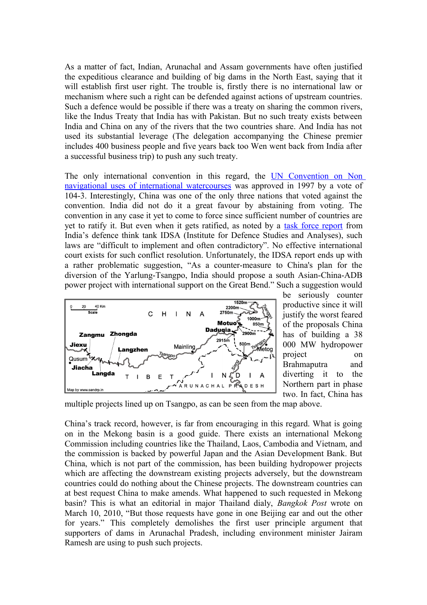As a matter of fact, Indian, Arunachal and Assam governments have often justified the expeditious clearance and building of big dams in the North East, saying that it will establish first user right. The trouble is, firstly there is no international law or mechanism where such a right can be defended against actions of upstream countries. Such a defence would be possible if there was a treaty on sharing the common rivers, like the Indus Treaty that India has with Pakistan. But no such treaty exists between India and China on any of the rivers that the two countries share. And India has not used its substantial leverage (The delegation accompanying the Chinese premier includes 400 business people and five years back too Wen went back from India after a successful business trip) to push any such treaty.

The only international convention in this regard, the [UN Convention on Non](http://untreaty.un.org/ilc/texts/instruments/english/conventions/8_3_1997.pdf) [navigational uses of international watercourses](http://untreaty.un.org/ilc/texts/instruments/english/conventions/8_3_1997.pdf) was approved in 1997 by a vote of 104-3. Interestingly, China was one of the only three nations that voted against the convention. India did not do it a great favour by abstaining from voting. The convention in any case it yet to come to force since sufficient number of countries are yet to ratify it. But even when it gets ratified, as noted by a [task force report](http://www.idsa.in/book/WaterSecurityforIndia) from India's defence think tank IDSA (Institute for Defence Studies and Analyses), such laws are "difficult to implement and often contradictory". No effective international court exists for such conflict resolution. Unfortunately, the IDSA report ends up with a rather problematic suggestion, "As a counter-measure to China's plan for the diversion of the Yarlung-Tsangpo, India should propose a south Asian-China-ADB power project with international support on the Great Bend." Such a suggestion would



be seriously counter productive since it will justify the worst feared of the proposals China has of building a 38 000 MW hydropower project on Brahmaputra and diverting it to the Northern part in phase two. In fact, China has

multiple projects lined up on Tsangpo, as can be seen from the map above.

China's track record, however, is far from encouraging in this regard. What is going on in the Mekong basin is a good guide. There exists an international Mekong Commission including countries like the Thailand, Laos, Cambodia and Vietnam, and the commission is backed by powerful Japan and the Asian Development Bank. But China, which is not part of the commission, has been building hydropower projects which are affecting the downstream existing projects adversely, but the downstream countries could do nothing about the Chinese projects. The downstream countries can at best request China to make amends. What happened to such requested in Mekong basin? This is what an editorial in major Thailand dialy, *Bangkok Post* wrote on March 10, 2010, "But those requests have gone in one Beijing ear and out the other for years." This completely demolishes the first user principle argument that supporters of dams in Arunachal Pradesh, including environment minister Jairam Ramesh are using to push such projects.